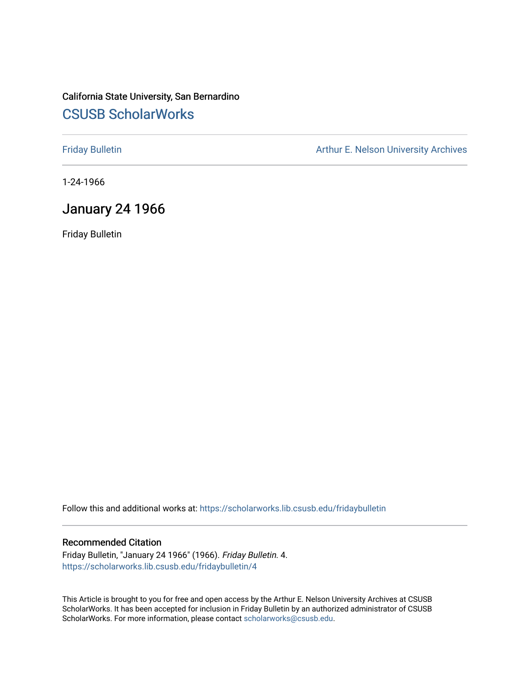# California State University, San Bernardino [CSUSB ScholarWorks](https://scholarworks.lib.csusb.edu/)

[Friday Bulletin](https://scholarworks.lib.csusb.edu/fridaybulletin) **Arthur E. Nelson University Archives** Arthur E. Nelson University Archives

1-24-1966

## January 24 1966

Friday Bulletin

Follow this and additional works at: [https://scholarworks.lib.csusb.edu/fridaybulletin](https://scholarworks.lib.csusb.edu/fridaybulletin?utm_source=scholarworks.lib.csusb.edu%2Ffridaybulletin%2F4&utm_medium=PDF&utm_campaign=PDFCoverPages)

#### Recommended Citation

Friday Bulletin, "January 24 1966" (1966). Friday Bulletin. 4. [https://scholarworks.lib.csusb.edu/fridaybulletin/4](https://scholarworks.lib.csusb.edu/fridaybulletin/4?utm_source=scholarworks.lib.csusb.edu%2Ffridaybulletin%2F4&utm_medium=PDF&utm_campaign=PDFCoverPages) 

This Article is brought to you for free and open access by the Arthur E. Nelson University Archives at CSUSB ScholarWorks. It has been accepted for inclusion in Friday Bulletin by an authorized administrator of CSUSB ScholarWorks. For more information, please contact [scholarworks@csusb.edu.](mailto:scholarworks@csusb.edu)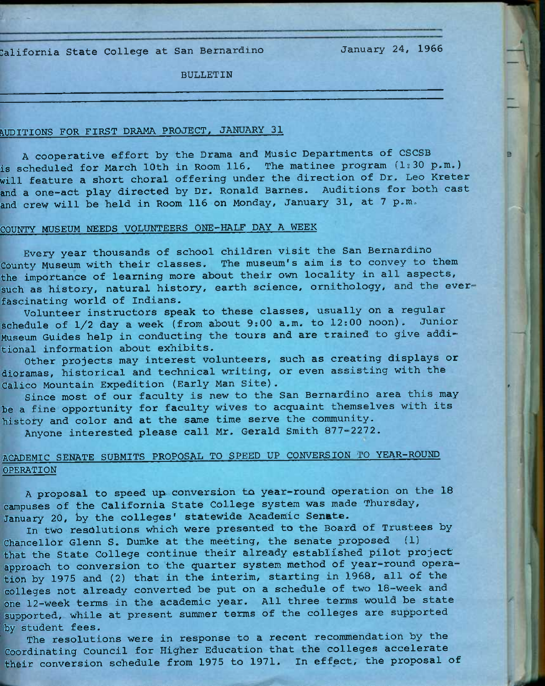:alifornia State College at San Bernardino

January *24,* 1966

BULLETIN

#### AUDITIONS FOR FIRST DRAMA PROJECT, JANUARY 31

A cooperative effort by the Drama and Music Departments of CSCSB is scheduled for March 10th in Room 116. The matinee program (1:30 p.m.) will feature a short choral offering under the direction of Dr. Leo Kreter and a one-act play directed by Dr. Ronald Barnes. Auditions for both cast and crew will be held in Room 116 on Monday, January 31, at 7 p.m.

### COUNTY MUSEUM NEEDS VOLUNTEERS ONE-HALF DAY A WEEK

Every year thousands of school children visit the San Bernardino County Museum with their classes. The museum's aim is to convey to them the importance of learning more about their own locality in all aspects, such as history, natural history, earth science, ornithology, and the ever fascinating world of Indians.

Volunteer instructors speak to these classes, usually on a regular schedule of 1/2 day a week (from about 9:00 a.m. to 12:00 noon). Junior Museum Guides help in conducting the tours and are trained to give additional information about exhibits.

Other projects may interest volunteers, such as creating displays or dioramas, historical and technical writing, or even assisting with the Calico Mountain Expedition (Early Man Site),

Since most of our faculty is new to the San Bernardino area this may be a fine opportunity for faculty wives to acquaint themselves with its histoty and color and at the same time serve the community.

Anyone interested please call Mr. Gerald Smith 877—2272,

### ACADEMIC SENATE SUBMITS PROPOSAL TO SPEED UP CONVERSION TO YEAR-ROUND OPERATION

A proposal to speed up. conversion to year-round operation on the 18 campuses of the California State College system was made Thursday, January 20, *hy* the colleges' statewide Academic Senate.

In two resolutions which were presented to the Board of Trustees by Chancellor Glenn S. Dumke at the meeting, the senate proposed (1) that the State College continue their already established pilot project approach to conversion to the quarter system method of year-round operation by 1975 and (2) that in the interim, starting in 1968, all of the colleges not already converted be put on a schedule of two 18-week and one 12-week terms in the academic year. All three terms would be state supported, while at present summer terms of the colleges are supported by student fees.

The resolutions were in response to a recent recommendation by the Coordinating Council for Higher Education that the colleges accelerate their conversion schedule from 1975 to 1971. In effect, the proposal of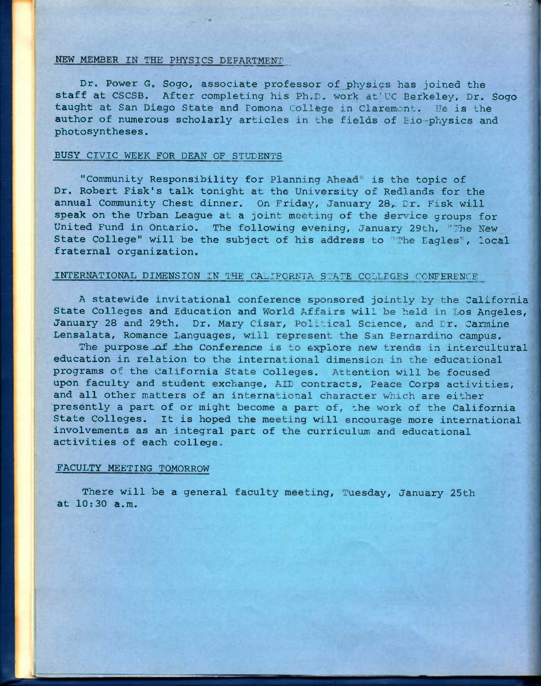#### NEW MEMBER IN THE PHYSICS DEPARTMENT'

Dr. Power G. Sogo, associate professor of physics has joined the staff at CSCSB. After completing his Ph.D. work at'UC Berkeley, Dr. Sogo taught at San Diego State and Pomona College in Claremont. He is the author of numerous scholarly articles in the fields of Eio=physics and photosyntheses.

#### BUSY CIVIC WEEK FOR DEAN OF STUDENTS

"Community Responsibility for Planning Ahead" is the topic of Dr. Robert Fisk's talk tonight at the University of Redlands for the annual Community Chest dinner. On Friday, January 28, Dr. Fisk will speak on the Urban League at a joint meeting of the service groups for United Fund in Ontario. The following evening, January 29th, "The New State College" will be the subject of his address to "The Eagles", local fraternal organization.

#### INTERNATIONAL DIMENSION IN THE CALIFORNIA STATE COLLDGES CONFERENCE

A statewide invitational conference sponsored jointly by the California State Colleges and Education and World Affairs will be held in Los Angeles, January 28 and 29th. Dr. Mary Cisar, Political Science, and Dr. Carmine Lensalata, Romance Languages, will represent the San Bernardino campus.

The purpose of the Conference is to explore new trends in intercultural education in relation to the international dimension in the educational programs of the California State Colleges. Attention will be focused upon faculty and student exchange, AID contracts, Peace Corps activities, and all other matters of an international character which are either presently a part of or might become a part of, ihe work of the California State Colleges. It is hoped the meeting will encourage more international involvements as an integral part of the curriculum and educational activities of each college,.

#### FACULTY MEETING TOMORROW

There will be a general faculty meeting, Tuesday, January 25th at 10;30 a.m.